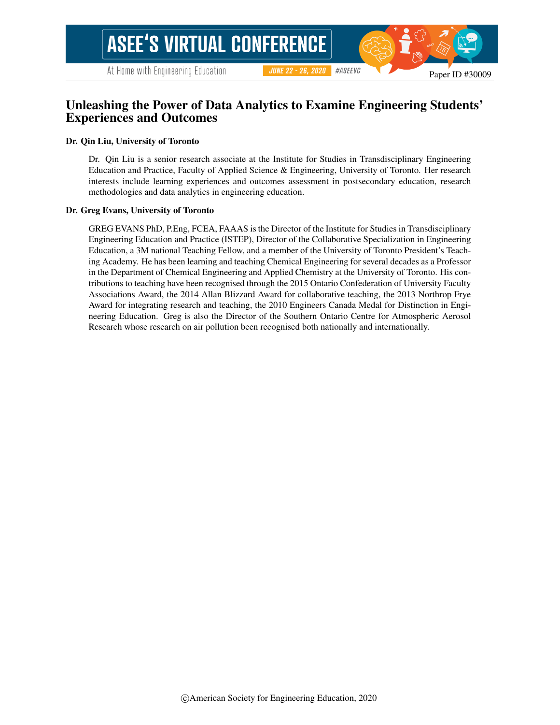# Unleashing the Power of Data Analytics to Examine Engineering Students' Experiences and Outcomes

#### Dr. Qin Liu, University of Toronto

Dr. Qin Liu is a senior research associate at the Institute for Studies in Transdisciplinary Engineering Education and Practice, Faculty of Applied Science & Engineering, University of Toronto. Her research interests include learning experiences and outcomes assessment in postsecondary education, research methodologies and data analytics in engineering education.

#### Dr. Greg Evans, University of Toronto

GREG EVANS PhD, P.Eng, FCEA, FAAAS is the Director of the Institute for Studies in Transdisciplinary Engineering Education and Practice (ISTEP), Director of the Collaborative Specialization in Engineering Education, a 3M national Teaching Fellow, and a member of the University of Toronto President's Teaching Academy. He has been learning and teaching Chemical Engineering for several decades as a Professor in the Department of Chemical Engineering and Applied Chemistry at the University of Toronto. His contributions to teaching have been recognised through the 2015 Ontario Confederation of University Faculty Associations Award, the 2014 Allan Blizzard Award for collaborative teaching, the 2013 Northrop Frye Award for integrating research and teaching, the 2010 Engineers Canada Medal for Distinction in Engineering Education. Greg is also the Director of the Southern Ontario Centre for Atmospheric Aerosol Research whose research on air pollution been recognised both nationally and internationally.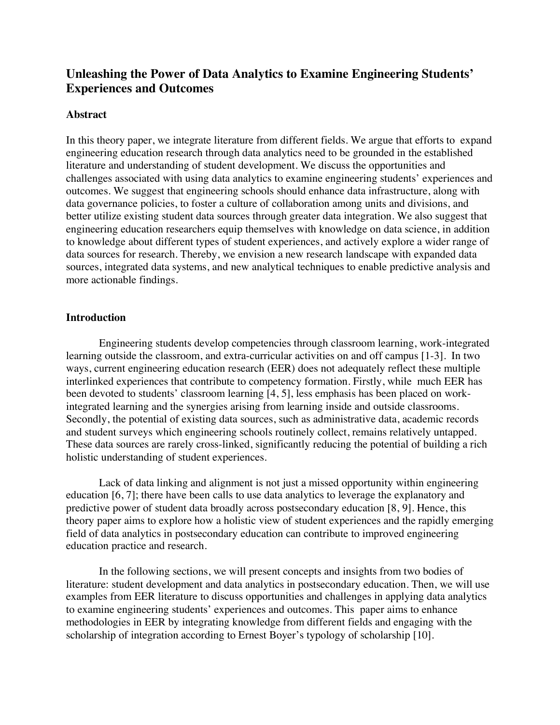# **Unleashing the Power of Data Analytics to Examine Engineering Students' Experiences and Outcomes**

# **Abstract**

In this theory paper, we integrate literature from different fields. We argue that efforts to expand engineering education research through data analytics need to be grounded in the established literature and understanding of student development. We discuss the opportunities and challenges associated with using data analytics to examine engineering students' experiences and outcomes. We suggest that engineering schools should enhance data infrastructure, along with data governance policies, to foster a culture of collaboration among units and divisions, and better utilize existing student data sources through greater data integration. We also suggest that engineering education researchers equip themselves with knowledge on data science, in addition to knowledge about different types of student experiences, and actively explore a wider range of data sources for research. Thereby, we envision a new research landscape with expanded data sources, integrated data systems, and new analytical techniques to enable predictive analysis and more actionable findings.

# **Introduction**

Engineering students develop competencies through classroom learning, work-integrated learning outside the classroom, and extra-curricular activities on and off campus [1-3]. In two ways, current engineering education research (EER) does not adequately reflect these multiple interlinked experiences that contribute to competency formation. Firstly, while much EER has been devoted to students' classroom learning [4, 5], less emphasis has been placed on workintegrated learning and the synergies arising from learning inside and outside classrooms. Secondly, the potential of existing data sources, such as administrative data, academic records and student surveys which engineering schools routinely collect, remains relatively untapped. These data sources are rarely cross-linked, significantly reducing the potential of building a rich holistic understanding of student experiences.

Lack of data linking and alignment is not just a missed opportunity within engineering education [6, 7]; there have been calls to use data analytics to leverage the explanatory and predictive power of student data broadly across postsecondary education [8, 9]. Hence, this theory paper aims to explore how a holistic view of student experiences and the rapidly emerging field of data analytics in postsecondary education can contribute to improved engineering education practice and research.

In the following sections, we will present concepts and insights from two bodies of literature: student development and data analytics in postsecondary education. Then, we will use examples from EER literature to discuss opportunities and challenges in applying data analytics to examine engineering students' experiences and outcomes. This paper aims to enhance methodologies in EER by integrating knowledge from different fields and engaging with the scholarship of integration according to Ernest Boyer's typology of scholarship [10].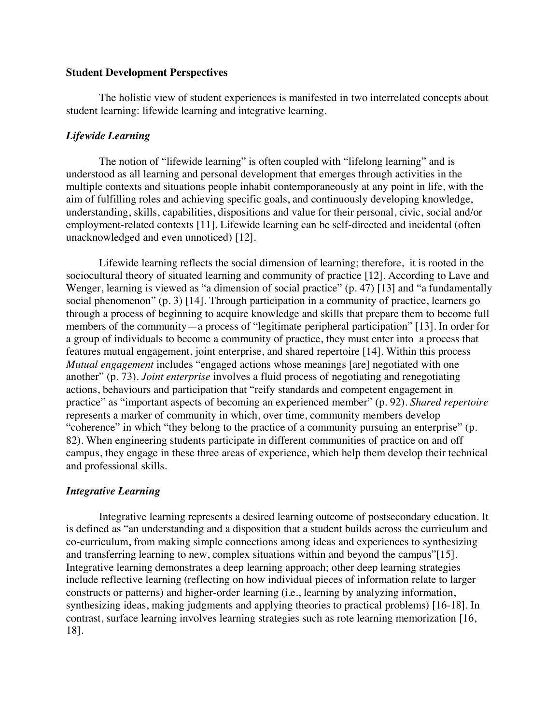# **Student Development Perspectives**

The holistic view of student experiences is manifested in two interrelated concepts about student learning: lifewide learning and integrative learning.

# *Lifewide Learning*

The notion of "lifewide learning" is often coupled with "lifelong learning" and is understood as all learning and personal development that emerges through activities in the multiple contexts and situations people inhabit contemporaneously at any point in life, with the aim of fulfilling roles and achieving specific goals, and continuously developing knowledge, understanding, skills, capabilities, dispositions and value for their personal, civic, social and/or employment-related contexts [11]. Lifewide learning can be self-directed and incidental (often unacknowledged and even unnoticed) [12].

Lifewide learning reflects the social dimension of learning; therefore, it is rooted in the sociocultural theory of situated learning and community of practice [12]. According to Lave and Wenger, learning is viewed as "a dimension of social practice" (p. 47) [13] and "a fundamentally social phenomenon" (p. 3) [14]. Through participation in a community of practice, learners go through a process of beginning to acquire knowledge and skills that prepare them to become full members of the community—a process of "legitimate peripheral participation" [13]. In order for a group of individuals to become a community of practice, they must enter into a process that features mutual engagement, joint enterprise, and shared repertoire [14]. Within this process *Mutual engagement* includes "engaged actions whose meanings [are] negotiated with one another" (p. 73). *Joint enterprise* involves a fluid process of negotiating and renegotiating actions, behaviours and participation that "reify standards and competent engagement in practice" as "important aspects of becoming an experienced member" (p. 92). *Shared repertoire* represents a marker of community in which, over time, community members develop "coherence" in which "they belong to the practice of a community pursuing an enterprise" (p. 82). When engineering students participate in different communities of practice on and off campus, they engage in these three areas of experience, which help them develop their technical and professional skills.

# *Integrative Learning*

Integrative learning represents a desired learning outcome of postsecondary education. It is defined as "an understanding and a disposition that a student builds across the curriculum and co-curriculum, from making simple connections among ideas and experiences to synthesizing and transferring learning to new, complex situations within and beyond the campus"[15]. Integrative learning demonstrates a deep learning approach; other deep learning strategies include reflective learning (reflecting on how individual pieces of information relate to larger constructs or patterns) and higher-order learning (i.e., learning by analyzing information, synthesizing ideas, making judgments and applying theories to practical problems) [16-18]. In contrast, surface learning involves learning strategies such as rote learning memorization [16, 18].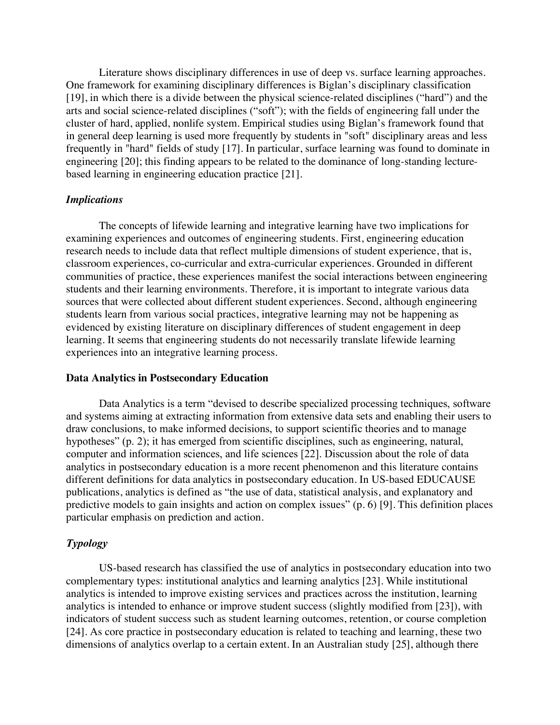Literature shows disciplinary differences in use of deep vs. surface learning approaches. One framework for examining disciplinary differences is Biglan's disciplinary classification [19], in which there is a divide between the physical science-related disciplines ("hard") and the arts and social science-related disciplines ("soft"); with the fields of engineering fall under the cluster of hard, applied, nonlife system. Empirical studies using Biglan's framework found that in general deep learning is used more frequently by students in "soft" disciplinary areas and less frequently in "hard" fields of study [17]. In particular, surface learning was found to dominate in engineering [20]; this finding appears to be related to the dominance of long-standing lecturebased learning in engineering education practice [21].

## *Implications*

The concepts of lifewide learning and integrative learning have two implications for examining experiences and outcomes of engineering students. First, engineering education research needs to include data that reflect multiple dimensions of student experience, that is, classroom experiences, co-curricular and extra-curricular experiences. Grounded in different communities of practice, these experiences manifest the social interactions between engineering students and their learning environments. Therefore, it is important to integrate various data sources that were collected about different student experiences. Second, although engineering students learn from various social practices, integrative learning may not be happening as evidenced by existing literature on disciplinary differences of student engagement in deep learning. It seems that engineering students do not necessarily translate lifewide learning experiences into an integrative learning process.

## **Data Analytics in Postsecondary Education**

Data Analytics is a term "devised to describe specialized processing techniques, software and systems aiming at extracting information from extensive data sets and enabling their users to draw conclusions, to make informed decisions, to support scientific theories and to manage hypotheses" (p. 2); it has emerged from scientific disciplines, such as engineering, natural, computer and information sciences, and life sciences [22]. Discussion about the role of data analytics in postsecondary education is a more recent phenomenon and this literature contains different definitions for data analytics in postsecondary education. In US-based EDUCAUSE publications, analytics is defined as "the use of data, statistical analysis, and explanatory and predictive models to gain insights and action on complex issues" (p. 6) [9]. This definition places particular emphasis on prediction and action.

# *Typology*

US-based research has classified the use of analytics in postsecondary education into two complementary types: institutional analytics and learning analytics [23]. While institutional analytics is intended to improve existing services and practices across the institution, learning analytics is intended to enhance or improve student success (slightly modified from [23]), with indicators of student success such as student learning outcomes, retention, or course completion [24]. As core practice in postsecondary education is related to teaching and learning, these two dimensions of analytics overlap to a certain extent. In an Australian study [25], although there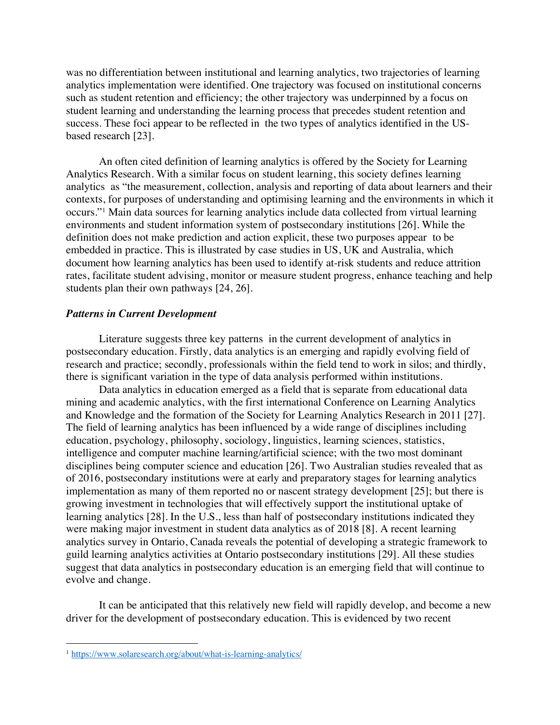was no differentiation between institutional and learning analytics, two trajectories of learning analytics implementation were identified. One trajectory was focused on institutional concerns such as student retention and efficiency; the other trajectory was underpinned by a focus on student learning and understanding the learning process that precedes student retention and success. These foci appear to be reflected in the two types of analytics identified in the USbased research [23].

An often cited definition of learning analytics is offered by the Society for Learning Analytics Research. With a similar focus on student learning, this society defines learning analytics as "the measurement, collection, analysis and reporting of data about learners and their contexts, for purposes of understanding and optimising learning and the environments in which it occurs."1 Main data sources for learning analytics include data collected from virtual learning environments and student information system of postsecondary institutions [26]. While the definition does not make prediction and action explicit, these two purposes appear to be embedded in practice. This is illustrated by case studies in US, UK and Australia, which document how learning analytics has been used to identify at-risk students and reduce attrition rates, facilitate student advising, monitor or measure student progress, enhance teaching and help students plan their own pathways [24, 26].

## *Patterns in Current Development*

Literature suggests three key patterns in the current development of analytics in postsecondary education. Firstly, data analytics is an emerging and rapidly evolving field of research and practice; secondly, professionals within the field tend to work in silos; and thirdly, there is significant variation in the type of data analysis performed within institutions.

Data analytics in education emerged as a field that is separate from educational data mining and academic analytics, with the first international Conference on Learning Analytics and Knowledge and the formation of the Society for Learning Analytics Research in 2011 [27]. The field of learning analytics has been influenced by a wide range of disciplines including education, psychology, philosophy, sociology, linguistics, learning sciences, statistics, intelligence and computer machine learning/artificial science; with the two most dominant disciplines being computer science and education [26]. Two Australian studies revealed that as of 2016, postsecondary institutions were at early and preparatory stages for learning analytics implementation as many of them reported no or nascent strategy development [25]; but there is growing investment in technologies that will effectively support the institutional uptake of learning analytics [28]. In the U.S., less than half of postsecondary institutions indicated they were making major investment in student data analytics as of 2018 [8]. A recent learning analytics survey in Ontario, Canada reveals the potential of developing a strategic framework to guild learning analytics activities at Ontario postsecondary institutions [29]. All these studies suggest that data analytics in postsecondary education is an emerging field that will continue to evolve and change.

It can be anticipated that this relatively new field will rapidly develop, and become a new driver for the development of postsecondary education. This is evidenced by two recent

<u>.</u>

<sup>1</sup> https://www.solaresearch.org/about/what-is-learning-analytics/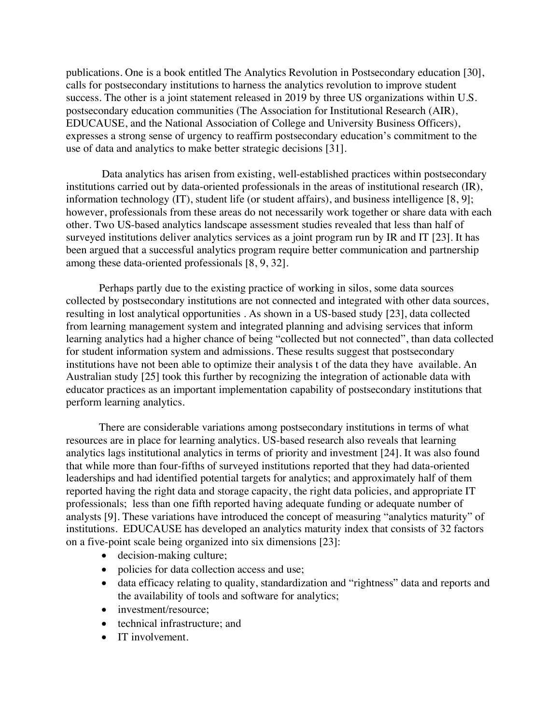publications. One is a book entitled The Analytics Revolution in Postsecondary education [30], calls for postsecondary institutions to harness the analytics revolution to improve student success. The other is a joint statement released in 2019 by three US organizations within U.S. postsecondary education communities (The Association for Institutional Research (AIR), EDUCAUSE, and the National Association of College and University Business Officers), expresses a strong sense of urgency to reaffirm postsecondary education's commitment to the use of data and analytics to make better strategic decisions [31].

Data analytics has arisen from existing, well-established practices within postsecondary institutions carried out by data-oriented professionals in the areas of institutional research (IR), information technology (IT), student life (or student affairs), and business intelligence [8, 9]; however, professionals from these areas do not necessarily work together or share data with each other. Two US-based analytics landscape assessment studies revealed that less than half of surveyed institutions deliver analytics services as a joint program run by IR and IT [23]. It has been argued that a successful analytics program require better communication and partnership among these data-oriented professionals [8, 9, 32].

Perhaps partly due to the existing practice of working in silos, some data sources collected by postsecondary institutions are not connected and integrated with other data sources, resulting in lost analytical opportunities . As shown in a US-based study [23], data collected from learning management system and integrated planning and advising services that inform learning analytics had a higher chance of being "collected but not connected", than data collected for student information system and admissions. These results suggest that postsecondary institutions have not been able to optimize their analysis t of the data they have available. An Australian study [25] took this further by recognizing the integration of actionable data with educator practices as an important implementation capability of postsecondary institutions that perform learning analytics.

There are considerable variations among postsecondary institutions in terms of what resources are in place for learning analytics. US-based research also reveals that learning analytics lags institutional analytics in terms of priority and investment [24]. It was also found that while more than four-fifths of surveyed institutions reported that they had data-oriented leaderships and had identified potential targets for analytics; and approximately half of them reported having the right data and storage capacity, the right data policies, and appropriate IT professionals; less than one fifth reported having adequate funding or adequate number of analysts [9]. These variations have introduced the concept of measuring "analytics maturity" of institutions. EDUCAUSE has developed an analytics maturity index that consists of 32 factors on a five-point scale being organized into six dimensions [23]:

- decision-making culture;
- policies for data collection access and use;
- data efficacy relating to quality, standardization and "rightness" data and reports and the availability of tools and software for analytics;
- investment/resource:
- technical infrastructure; and
- IT involvement.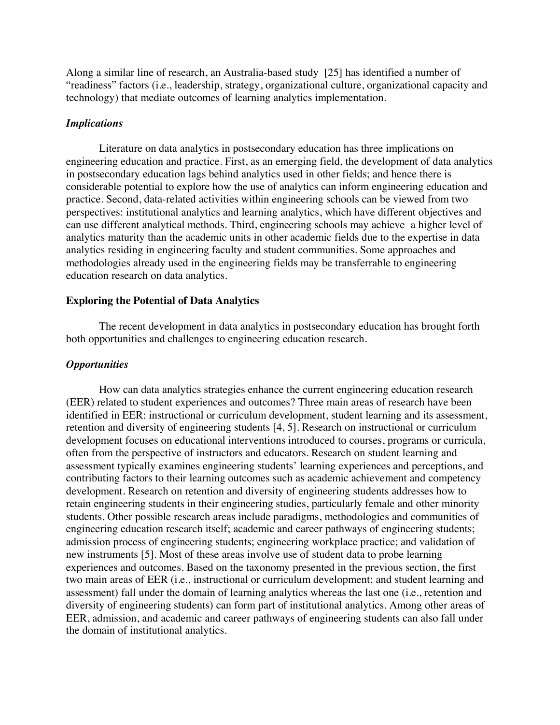Along a similar line of research, an Australia-based study [25] has identified a number of "readiness" factors (i.e., leadership, strategy, organizational culture, organizational capacity and technology) that mediate outcomes of learning analytics implementation.

#### *Implications*

Literature on data analytics in postsecondary education has three implications on engineering education and practice. First, as an emerging field, the development of data analytics in postsecondary education lags behind analytics used in other fields; and hence there is considerable potential to explore how the use of analytics can inform engineering education and practice. Second, data-related activities within engineering schools can be viewed from two perspectives: institutional analytics and learning analytics, which have different objectives and can use different analytical methods. Third, engineering schools may achieve a higher level of analytics maturity than the academic units in other academic fields due to the expertise in data analytics residing in engineering faculty and student communities. Some approaches and methodologies already used in the engineering fields may be transferrable to engineering education research on data analytics.

# **Exploring the Potential of Data Analytics**

The recent development in data analytics in postsecondary education has brought forth both opportunities and challenges to engineering education research.

# *Opportunities*

How can data analytics strategies enhance the current engineering education research (EER) related to student experiences and outcomes? Three main areas of research have been identified in EER: instructional or curriculum development, student learning and its assessment, retention and diversity of engineering students [4, 5]. Research on instructional or curriculum development focuses on educational interventions introduced to courses, programs or curricula, often from the perspective of instructors and educators. Research on student learning and assessment typically examines engineering students' learning experiences and perceptions, and contributing factors to their learning outcomes such as academic achievement and competency development. Research on retention and diversity of engineering students addresses how to retain engineering students in their engineering studies, particularly female and other minority students. Other possible research areas include paradigms, methodologies and communities of engineering education research itself; academic and career pathways of engineering students; admission process of engineering students; engineering workplace practice; and validation of new instruments [5]. Most of these areas involve use of student data to probe learning experiences and outcomes. Based on the taxonomy presented in the previous section, the first two main areas of EER (i.e., instructional or curriculum development; and student learning and assessment) fall under the domain of learning analytics whereas the last one (i.e., retention and diversity of engineering students) can form part of institutional analytics. Among other areas of EER, admission, and academic and career pathways of engineering students can also fall under the domain of institutional analytics.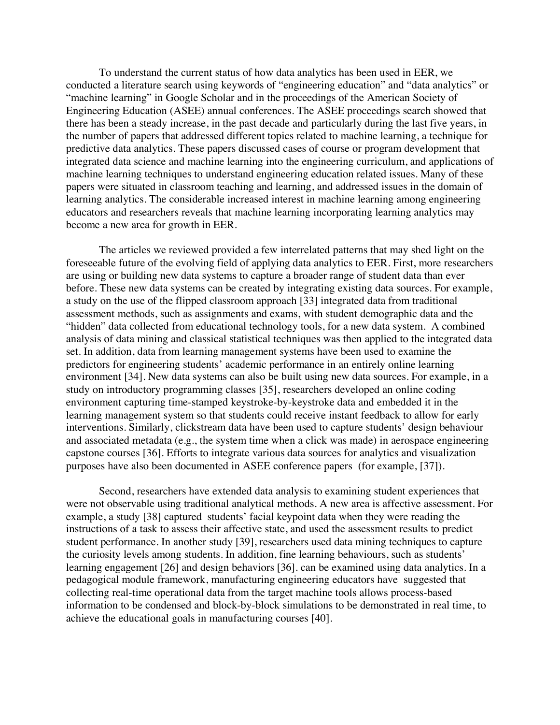To understand the current status of how data analytics has been used in EER, we conducted a literature search using keywords of "engineering education" and "data analytics" or "machine learning" in Google Scholar and in the proceedings of the American Society of Engineering Education (ASEE) annual conferences. The ASEE proceedings search showed that there has been a steady increase, in the past decade and particularly during the last five years, in the number of papers that addressed different topics related to machine learning, a technique for predictive data analytics. These papers discussed cases of course or program development that integrated data science and machine learning into the engineering curriculum, and applications of machine learning techniques to understand engineering education related issues. Many of these papers were situated in classroom teaching and learning, and addressed issues in the domain of learning analytics. The considerable increased interest in machine learning among engineering educators and researchers reveals that machine learning incorporating learning analytics may become a new area for growth in EER.

The articles we reviewed provided a few interrelated patterns that may shed light on the foreseeable future of the evolving field of applying data analytics to EER. First, more researchers are using or building new data systems to capture a broader range of student data than ever before. These new data systems can be created by integrating existing data sources. For example, a study on the use of the flipped classroom approach [33] integrated data from traditional assessment methods, such as assignments and exams, with student demographic data and the "hidden" data collected from educational technology tools, for a new data system. A combined analysis of data mining and classical statistical techniques was then applied to the integrated data set. In addition, data from learning management systems have been used to examine the predictors for engineering students' academic performance in an entirely online learning environment [34]. New data systems can also be built using new data sources. For example, in a study on introductory programming classes [35], researchers developed an online coding environment capturing time-stamped keystroke-by-keystroke data and embedded it in the learning management system so that students could receive instant feedback to allow for early interventions. Similarly, clickstream data have been used to capture students' design behaviour and associated metadata (e.g., the system time when a click was made) in aerospace engineering capstone courses [36]. Efforts to integrate various data sources for analytics and visualization purposes have also been documented in ASEE conference papers (for example, [37]).

Second, researchers have extended data analysis to examining student experiences that were not observable using traditional analytical methods. A new area is affective assessment. For example, a study [38] captured students' facial keypoint data when they were reading the instructions of a task to assess their affective state, and used the assessment results to predict student performance. In another study [39], researchers used data mining techniques to capture the curiosity levels among students. In addition, fine learning behaviours, such as students' learning engagement [26] and design behaviors [36]. can be examined using data analytics. In a pedagogical module framework, manufacturing engineering educators have suggested that collecting real-time operational data from the target machine tools allows process-based information to be condensed and block-by-block simulations to be demonstrated in real time, to achieve the educational goals in manufacturing courses [40].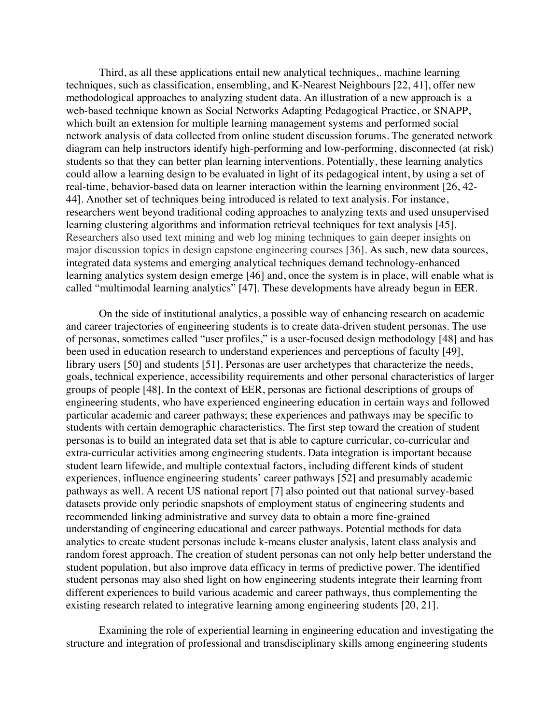Third, as all these applications entail new analytical techniques,. machine learning techniques, such as classification, ensembling, and K-Nearest Neighbours [22, 41], offer new methodological approaches to analyzing student data. An illustration of a new approach is a web-based technique known as Social Networks Adapting Pedagogical Practice, or SNAPP, which built an extension for multiple learning management systems and performed social network analysis of data collected from online student discussion forums. The generated network diagram can help instructors identify high-performing and low-performing, disconnected (at risk) students so that they can better plan learning interventions. Potentially, these learning analytics could allow a learning design to be evaluated in light of its pedagogical intent, by using a set of real-time, behavior-based data on learner interaction within the learning environment [26, 42- 44]. Another set of techniques being introduced is related to text analysis. For instance, researchers went beyond traditional coding approaches to analyzing texts and used unsupervised learning clustering algorithms and information retrieval techniques for text analysis [45]. Researchers also used text mining and web log mining techniques to gain deeper insights on major discussion topics in design capstone engineering courses [36]. As such, new data sources, integrated data systems and emerging analytical techniques demand technology-enhanced learning analytics system design emerge [46] and, once the system is in place, will enable what is called "multimodal learning analytics" [47]. These developments have already begun in EER.

On the side of institutional analytics, a possible way of enhancing research on academic and career trajectories of engineering students is to create data-driven student personas. The use of personas, sometimes called "user profiles," is a user-focused design methodology [48] and has been used in education research to understand experiences and perceptions of faculty [49], library users [50] and students [51]. Personas are user archetypes that characterize the needs, goals, technical experience, accessibility requirements and other personal characteristics of larger groups of people [48]. In the context of EER, personas are fictional descriptions of groups of engineering students, who have experienced engineering education in certain ways and followed particular academic and career pathways; these experiences and pathways may be specific to students with certain demographic characteristics. The first step toward the creation of student personas is to build an integrated data set that is able to capture curricular, co-curricular and extra-curricular activities among engineering students. Data integration is important because student learn lifewide, and multiple contextual factors, including different kinds of student experiences, influence engineering students' career pathways [52] and presumably academic pathways as well. A recent US national report [7] also pointed out that national survey-based datasets provide only periodic snapshots of employment status of engineering students and recommended linking administrative and survey data to obtain a more fine-grained understanding of engineering educational and career pathways. Potential methods for data analytics to create student personas include k-means cluster analysis, latent class analysis and random forest approach. The creation of student personas can not only help better understand the student population, but also improve data efficacy in terms of predictive power. The identified student personas may also shed light on how engineering students integrate their learning from different experiences to build various academic and career pathways, thus complementing the existing research related to integrative learning among engineering students [20, 21].

Examining the role of experiential learning in engineering education and investigating the structure and integration of professional and transdisciplinary skills among engineering students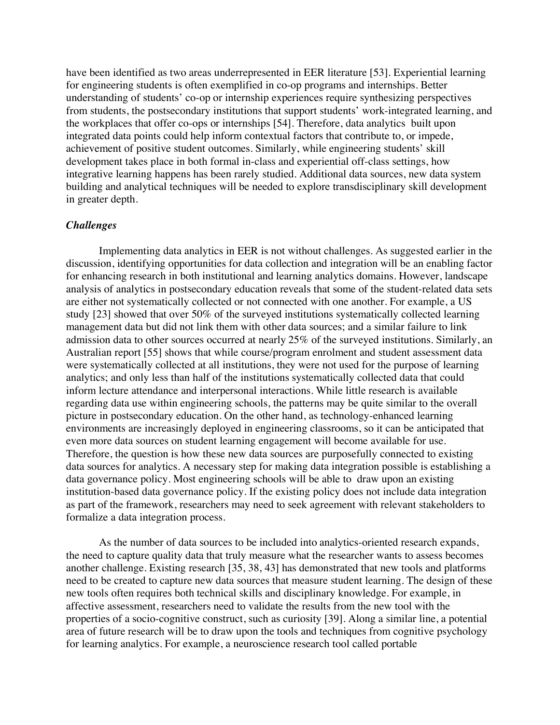have been identified as two areas underrepresented in EER literature [53]. Experiential learning for engineering students is often exemplified in co-op programs and internships. Better understanding of students' co-op or internship experiences require synthesizing perspectives from students, the postsecondary institutions that support students' work-integrated learning, and the workplaces that offer co-ops or internships [54]. Therefore, data analytics built upon integrated data points could help inform contextual factors that contribute to, or impede, achievement of positive student outcomes. Similarly, while engineering students' skill development takes place in both formal in-class and experiential off-class settings, how integrative learning happens has been rarely studied. Additional data sources, new data system building and analytical techniques will be needed to explore transdisciplinary skill development in greater depth.

# *Challenges*

Implementing data analytics in EER is not without challenges. As suggested earlier in the discussion, identifying opportunities for data collection and integration will be an enabling factor for enhancing research in both institutional and learning analytics domains. However, landscape analysis of analytics in postsecondary education reveals that some of the student-related data sets are either not systematically collected or not connected with one another. For example, a US study [23] showed that over 50% of the surveyed institutions systematically collected learning management data but did not link them with other data sources; and a similar failure to link admission data to other sources occurred at nearly 25% of the surveyed institutions. Similarly, an Australian report [55] shows that while course/program enrolment and student assessment data were systematically collected at all institutions, they were not used for the purpose of learning analytics; and only less than half of the institutions systematically collected data that could inform lecture attendance and interpersonal interactions. While little research is available regarding data use within engineering schools, the patterns may be quite similar to the overall picture in postsecondary education. On the other hand, as technology-enhanced learning environments are increasingly deployed in engineering classrooms, so it can be anticipated that even more data sources on student learning engagement will become available for use. Therefore, the question is how these new data sources are purposefully connected to existing data sources for analytics. A necessary step for making data integration possible is establishing a data governance policy. Most engineering schools will be able to draw upon an existing institution-based data governance policy. If the existing policy does not include data integration as part of the framework, researchers may need to seek agreement with relevant stakeholders to formalize a data integration process.

As the number of data sources to be included into analytics-oriented research expands, the need to capture quality data that truly measure what the researcher wants to assess becomes another challenge. Existing research [35, 38, 43] has demonstrated that new tools and platforms need to be created to capture new data sources that measure student learning. The design of these new tools often requires both technical skills and disciplinary knowledge. For example, in affective assessment, researchers need to validate the results from the new tool with the properties of a socio-cognitive construct, such as curiosity [39]. Along a similar line, a potential area of future research will be to draw upon the tools and techniques from cognitive psychology for learning analytics. For example, a neuroscience research tool called portable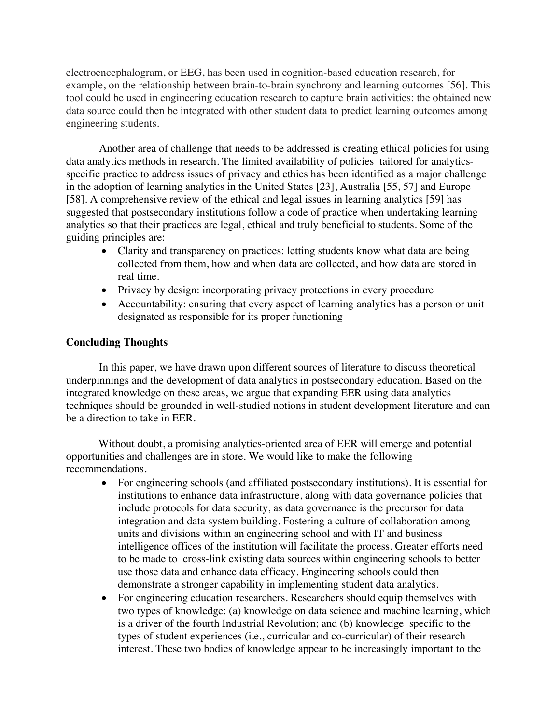electroencephalogram, or EEG, has been used in cognition-based education research, for example, on the relationship between brain-to-brain synchrony and learning outcomes [56]. This tool could be used in engineering education research to capture brain activities; the obtained new data source could then be integrated with other student data to predict learning outcomes among engineering students.

Another area of challenge that needs to be addressed is creating ethical policies for using data analytics methods in research. The limited availability of policies tailored for analyticsspecific practice to address issues of privacy and ethics has been identified as a major challenge in the adoption of learning analytics in the United States [23], Australia [55, 57] and Europe [58]. A comprehensive review of the ethical and legal issues in learning analytics [59] has suggested that postsecondary institutions follow a code of practice when undertaking learning analytics so that their practices are legal, ethical and truly beneficial to students. Some of the guiding principles are:

- Clarity and transparency on practices: letting students know what data are being collected from them, how and when data are collected, and how data are stored in real time.
- Privacy by design: incorporating privacy protections in every procedure
- Accountability: ensuring that every aspect of learning analytics has a person or unit designated as responsible for its proper functioning

# **Concluding Thoughts**

In this paper, we have drawn upon different sources of literature to discuss theoretical underpinnings and the development of data analytics in postsecondary education. Based on the integrated knowledge on these areas, we argue that expanding EER using data analytics techniques should be grounded in well-studied notions in student development literature and can be a direction to take in EER.

Without doubt, a promising analytics-oriented area of EER will emerge and potential opportunities and challenges are in store. We would like to make the following recommendations.

- For engineering schools (and affiliated postsecondary institutions). It is essential for institutions to enhance data infrastructure, along with data governance policies that include protocols for data security, as data governance is the precursor for data integration and data system building. Fostering a culture of collaboration among units and divisions within an engineering school and with IT and business intelligence offices of the institution will facilitate the process. Greater efforts need to be made to cross-link existing data sources within engineering schools to better use those data and enhance data efficacy. Engineering schools could then demonstrate a stronger capability in implementing student data analytics.
- For engineering education researchers. Researchers should equip themselves with two types of knowledge: (a) knowledge on data science and machine learning, which is a driver of the fourth Industrial Revolution; and (b) knowledge specific to the types of student experiences (i.e., curricular and co-curricular) of their research interest. These two bodies of knowledge appear to be increasingly important to the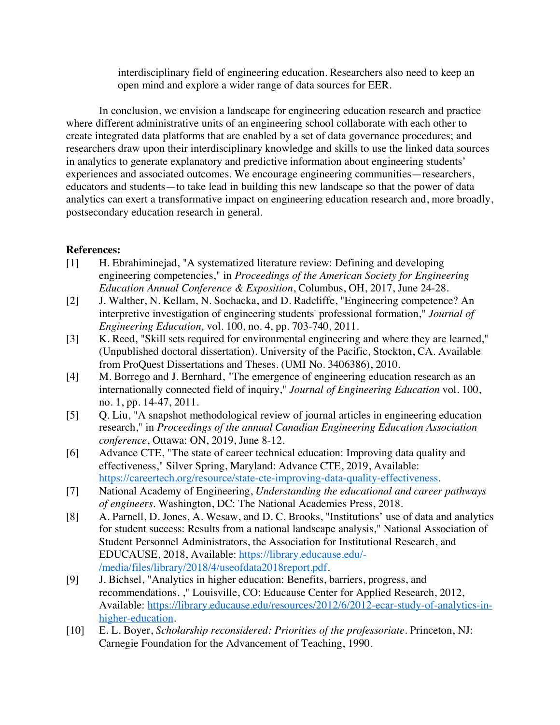interdisciplinary field of engineering education. Researchers also need to keep an open mind and explore a wider range of data sources for EER.

In conclusion, we envision a landscape for engineering education research and practice where different administrative units of an engineering school collaborate with each other to create integrated data platforms that are enabled by a set of data governance procedures; and researchers draw upon their interdisciplinary knowledge and skills to use the linked data sources in analytics to generate explanatory and predictive information about engineering students' experiences and associated outcomes. We encourage engineering communities—researchers, educators and students—to take lead in building this new landscape so that the power of data analytics can exert a transformative impact on engineering education research and, more broadly, postsecondary education research in general.

# **References:**

- [1] H. Ebrahiminejad, "A systematized literature review: Defining and developing engineering competencies," in *Proceedings of the American Society for Engineering Education Annual Conference & Exposition*, Columbus, OH, 2017, June 24-28.
- [2] J. Walther, N. Kellam, N. Sochacka, and D. Radcliffe, "Engineering competence? An interpretive investigation of engineering students' professional formation," *Journal of Engineering Education,* vol. 100, no. 4, pp. 703-740, 2011.
- [3] K. Reed, "Skill sets required for environmental engineering and where they are learned," (Unpublished doctoral dissertation). University of the Pacific, Stockton, CA. Available from ProQuest Dissertations and Theses. (UMI No. 3406386), 2010.
- [4] M. Borrego and J. Bernhard, "The emergence of engineering education research as an internationally connected field of inquiry," *Journal of Engineering Education* vol. 100, no. 1, pp. 14-47, 2011.
- [5] Q. Liu, "A snapshot methodological review of journal articles in engineering education research," in *Proceedings of the annual Canadian Engineering Education Association conference*, Ottawa: ON, 2019, June 8-12.
- [6] Advance CTE, "The state of career technical education: Improving data quality and effectiveness," Silver Spring, Maryland: Advance CTE, 2019, Available: https://careertech.org/resource/state-cte-improving-data-quality-effectiveness.
- [7] National Academy of Engineering, *Understanding the educational and career pathways of engineers*. Washington, DC: The National Academies Press, 2018.
- [8] A. Parnell, D. Jones, A. Wesaw, and D. C. Brooks, "Institutions' use of data and analytics for student success: Results from a national landscape analysis," National Association of Student Personnel Administrators, the Association for Institutional Research, and EDUCAUSE, 2018, Available: https://library.educause.edu/- /media/files/library/2018/4/useofdata2018report.pdf.
- [9] J. Bichsel, "Analytics in higher education: Benefits, barriers, progress, and recommendations. ," Louisville, CO: Educause Center for Applied Research, 2012, Available: https://library.educause.edu/resources/2012/6/2012-ecar-study-of-analytics-inhigher-education.
- [10] E. L. Boyer, *Scholarship reconsidered: Priorities of the professoriate*. Princeton, NJ: Carnegie Foundation for the Advancement of Teaching, 1990.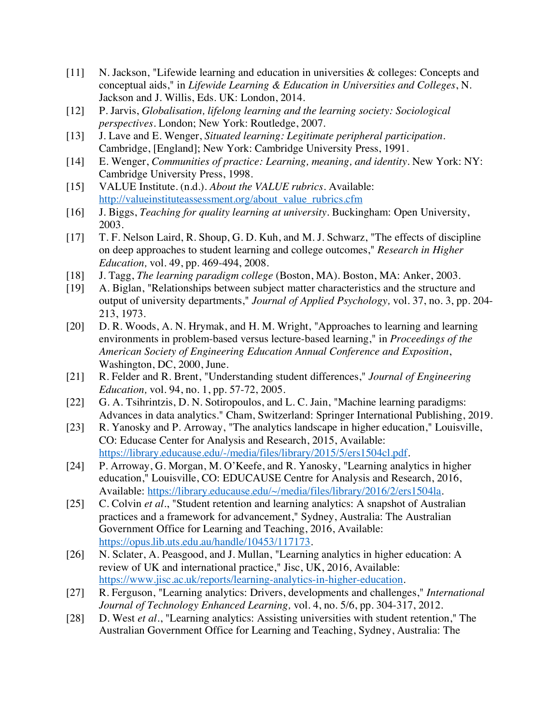- [11] N. Jackson, "Lifewide learning and education in universities & colleges: Concepts and conceptual aids," in *Lifewide Learning & Education in Universities and Colleges*, N. Jackson and J. Willis, Eds. UK: London, 2014.
- [12] P. Jarvis, *Globalisation, lifelong learning and the learning society: Sociological perspectives*. London; New York: Routledge, 2007.
- [13] J. Lave and E. Wenger, *Situated learning: Legitimate peripheral participation*. Cambridge, [England]; New York: Cambridge University Press, 1991.
- [14] E. Wenger, *Communities of practice: Learning, meaning, and identity*. New York: NY: Cambridge University Press, 1998.
- [15] VALUE Institute. (n.d.). *About the VALUE rubrics*. Available: http://valueinstituteassessment.org/about\_value\_rubrics.cfm
- [16] J. Biggs, *Teaching for quality learning at university*. Buckingham: Open University, 2003.
- [17] T. F. Nelson Laird, R. Shoup, G. D. Kuh, and M. J. Schwarz, "The effects of discipline on deep approaches to student learning and college outcomes," *Research in Higher Education,* vol. 49, pp. 469-494, 2008.
- [18] J. Tagg, *The learning paradigm college* (Boston, MA). Boston, MA: Anker, 2003.
- [19] A. Biglan, "Relationships between subject matter characteristics and the structure and output of university departments," *Journal of Applied Psychology,* vol. 37, no. 3, pp. 204- 213, 1973.
- [20] D. R. Woods, A. N. Hrymak, and H. M. Wright, "Approaches to learning and learning environments in problem-based versus lecture-based learning," in *Proceedings of the American Society of Engineering Education Annual Conference and Exposition*, Washington, DC, 2000, June.
- [21] R. Felder and R. Brent, "Understanding student differences," *Journal of Engineering Education,* vol. 94, no. 1, pp. 57-72, 2005.
- [22] G. A. Tsihrintzis, D. N. Sotiropoulos, and L. C. Jain, "Machine learning paradigms: Advances in data analytics." Cham, Switzerland: Springer International Publishing, 2019.
- [23] R. Yanosky and P. Arroway, "The analytics landscape in higher education," Louisville, CO: Educase Center for Analysis and Research, 2015, Available: https://library.educause.edu/-/media/files/library/2015/5/ers1504cl.pdf.
- [24] P. Arroway, G. Morgan, M. O'Keefe, and R. Yanosky, "Learning analytics in higher education," Louisville, CO: EDUCAUSE Centre for Analysis and Research, 2016, Available: https://library.educause.edu/~/media/files/library/2016/2/ers1504la.
- [25] C. Colvin *et al.*, "Student retention and learning analytics: A snapshot of Australian practices and a framework for advancement," Sydney, Australia: The Australian Government Office for Learning and Teaching, 2016, Available: https://opus.lib.uts.edu.au/handle/10453/117173.
- [26] N. Sclater, A. Peasgood, and J. Mullan, "Learning analytics in higher education: A review of UK and international practice," Jisc, UK, 2016, Available: https://www.jisc.ac.uk/reports/learning-analytics-in-higher-education.
- [27] R. Ferguson, "Learning analytics: Drivers, developments and challenges," *International Journal of Technology Enhanced Learning,* vol. 4, no. 5/6, pp. 304-317, 2012.
- [28] D. West *et al.*, "Learning analytics: Assisting universities with student retention," The Australian Government Office for Learning and Teaching, Sydney, Australia: The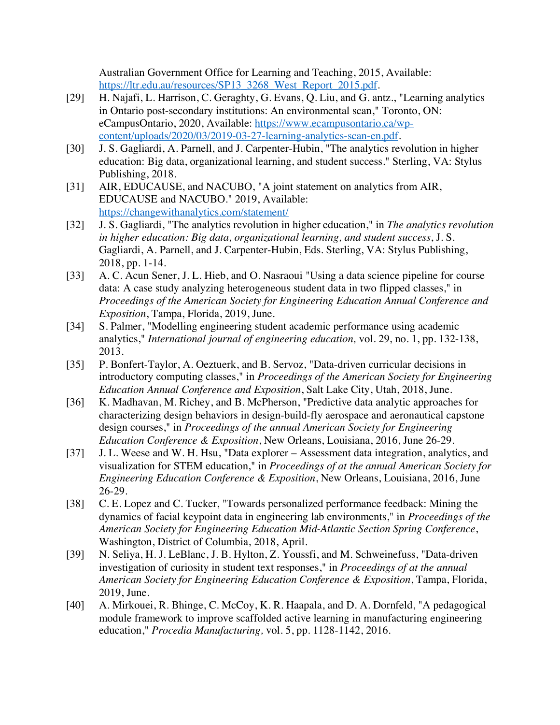Australian Government Office for Learning and Teaching, 2015, Available: https://ltr.edu.au/resources/SP13\_3268\_West\_Report\_2015.pdf.

- [29] H. Najafi, L. Harrison, C. Geraghty, G. Evans, Q. Liu, and G. antz., "Learning analytics in Ontario post-secondary institutions: An environmental scan," Toronto, ON: eCampusOntario, 2020, Available: https://www.ecampusontario.ca/wpcontent/uploads/2020/03/2019-03-27-learning-analytics-scan-en.pdf.
- [30] J. S. Gagliardi, A. Parnell, and J. Carpenter-Hubin, "The analytics revolution in higher education: Big data, organizational learning, and student success." Sterling, VA: Stylus Publishing, 2018.
- [31] AIR, EDUCAUSE, and NACUBO, "A joint statement on analytics from AIR, EDUCAUSE and NACUBO." 2019, Available: https://changewithanalytics.com/statement/
- [32] J. S. Gagliardi, "The analytics revolution in higher education," in *The analytics revolution in higher education: Big data, organizational learning, and student success*, J. S. Gagliardi, A. Parnell, and J. Carpenter-Hubin, Eds. Sterling, VA: Stylus Publishing, 2018, pp. 1-14.
- [33] A. C. Acun Sener, J. L. Hieb, and O. Nasraoui "Using a data science pipeline for course data: A case study analyzing heterogeneous student data in two flipped classes," in *Proceedings of the American Society for Engineering Education Annual Conference and Exposition*, Tampa, Florida, 2019, June.
- [34] S. Palmer, "Modelling engineering student academic performance using academic analytics," *International journal of engineering education,* vol. 29, no. 1, pp. 132-138, 2013.
- [35] P. Bonfert-Taylor, A. Oeztuerk, and B. Servoz, "Data-driven curricular decisions in introductory computing classes," in *Proceedings of the American Society for Engineering Education Annual Conference and Exposition*, Salt Lake City, Utah, 2018, June.
- [36] K. Madhavan, M. Richey, and B. McPherson, "Predictive data analytic approaches for characterizing design behaviors in design-build-fly aerospace and aeronautical capstone design courses," in *Proceedings of the annual American Society for Engineering Education Conference & Exposition*, New Orleans, Louisiana, 2016, June 26-29.
- [37] J. L. Weese and W. H. Hsu, "Data explorer Assessment data integration, analytics, and visualization for STEM education," in *Proceedings of at the annual American Society for Engineering Education Conference & Exposition*, New Orleans, Louisiana, 2016, June 26-29.
- [38] C. E. Lopez and C. Tucker, "Towards personalized performance feedback: Mining the dynamics of facial keypoint data in engineering lab environments," in *Proceedings of the American Society for Engineering Education Mid-Atlantic Section Spring Conference*, Washington, District of Columbia, 2018, April.
- [39] N. Seliya, H. J. LeBlanc, J. B. Hylton, Z. Youssfi, and M. Schweinefuss, "Data-driven investigation of curiosity in student text responses," in *Proceedings of at the annual American Society for Engineering Education Conference & Exposition*, Tampa, Florida, 2019, June.
- [40] A. Mirkouei, R. Bhinge, C. McCoy, K. R. Haapala, and D. A. Dornfeld, "A pedagogical module framework to improve scaffolded active learning in manufacturing engineering education," *Procedia Manufacturing,* vol. 5, pp. 1128-1142, 2016.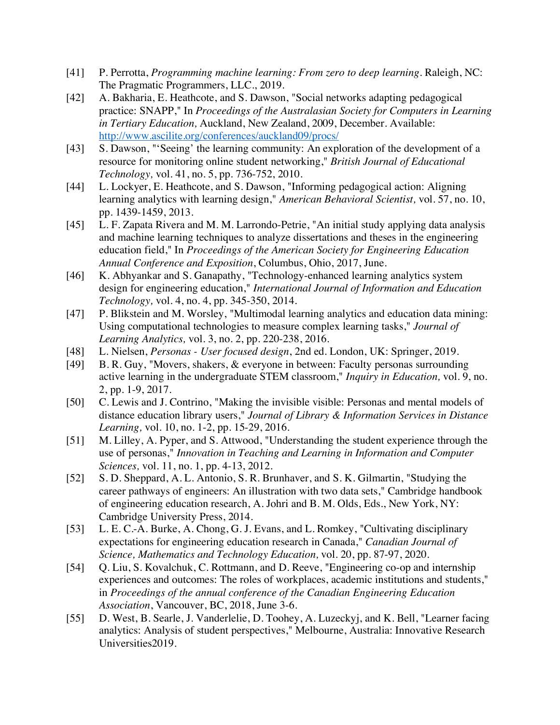- [41] P. Perrotta, *Programming machine learning: From zero to deep learning*. Raleigh, NC: The Pragmatic Programmers, LLC., 2019.
- [42] A. Bakharia, E. Heathcote, and S. Dawson, "Social networks adapting pedagogical practice: SNAPP," In *Proceedings of the Australasian Society for Computers in Learning in Tertiary Education,* Auckland, New Zealand, 2009, December. Available: http://www.ascilite.org/conferences/auckland09/procs/
- [43] S. Dawson, "'Seeing' the learning community: An exploration of the development of a resource for monitoring online student networking," *British Journal of Educational Technology,* vol. 41, no. 5, pp. 736-752, 2010.
- [44] L. Lockyer, E. Heathcote, and S. Dawson, "Informing pedagogical action: Aligning learning analytics with learning design," *American Behavioral Scientist,* vol. 57, no. 10, pp. 1439-1459, 2013.
- [45] L. F. Zapata Rivera and M. M. Larrondo-Petrie, "An initial study applying data analysis and machine learning techniques to analyze dissertations and theses in the engineering education field," In *Proceedings of the American Society for Engineering Education Annual Conference and Exposition*, Columbus, Ohio, 2017, June.
- [46] K. Abhyankar and S. Ganapathy, "Technology-enhanced learning analytics system design for engineering education," *International Journal of Information and Education Technology,* vol. 4, no. 4, pp. 345-350, 2014.
- [47] P. Blikstein and M. Worsley, "Multimodal learning analytics and education data mining: Using computational technologies to measure complex learning tasks," *Journal of Learning Analytics,* vol. 3, no. 2, pp. 220-238, 2016.
- [48] L. Nielsen, *Personas - User focused design*, 2nd ed. London, UK: Springer, 2019.
- [49] B. R. Guy, "Movers, shakers, & everyone in between: Faculty personas surrounding active learning in the undergraduate STEM classroom," *Inquiry in Education,* vol. 9, no. 2, pp. 1-9, 2017.
- [50] C. Lewis and J. Contrino, "Making the invisible visible: Personas and mental models of distance education library users," *Journal of Library & Information Services in Distance Learning,* vol. 10, no. 1-2, pp. 15-29, 2016.
- [51] M. Lilley, A. Pyper, and S. Attwood, "Understanding the student experience through the use of personas," *Innovation in Teaching and Learning in Information and Computer Sciences,* vol. 11, no. 1, pp. 4-13, 2012.
- [52] S. D. Sheppard, A. L. Antonio, S. R. Brunhaver, and S. K. Gilmartin, "Studying the career pathways of engineers: An illustration with two data sets," Cambridge handbook of engineering education research, A. Johri and B. M. Olds, Eds., New York, NY: Cambridge University Press, 2014.
- [53] L. E. C.-A. Burke, A. Chong, G. J. Evans, and L. Romkey, "Cultivating disciplinary expectations for engineering education research in Canada," *Canadian Journal of Science, Mathematics and Technology Education,* vol. 20, pp. 87-97, 2020.
- [54] Q. Liu, S. Kovalchuk, C. Rottmann, and D. Reeve, "Engineering co-op and internship experiences and outcomes: The roles of workplaces, academic institutions and students," in *Proceedings of the annual conference of the Canadian Engineering Education Association*, Vancouver, BC, 2018, June 3-6.
- [55] D. West, B. Searle, J. Vanderlelie, D. Toohey, A. Luzeckyj, and K. Bell, "Learner facing" analytics: Analysis of student perspectives," Melbourne, Australia: Innovative Research Universities2019.